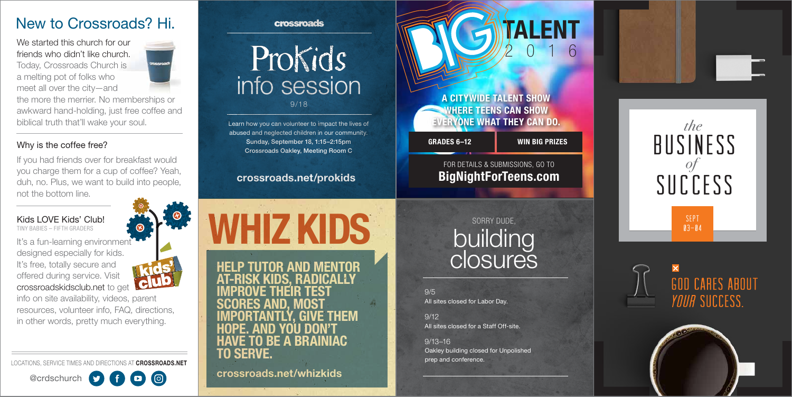We started this church for our friends who didn't like church. Today, Crossroads Church is a melting pot of folks who

meet all over the city—and



the more the merrier. No memberships or awkward hand-holding, just free coffee and biblical truth that'll wake your soul.

#### Why is the coffee free?

It's a fun-learning environment designed especially for kids. It's free, totally secure and offered during service. Visit crossroadskidsclub.net to get

If you had friends over for breakfast would you charge them for a cup of coffee? Yeah, duh, no. Plus, we want to build into people, not the bottom line.

> SEPT  $03 - 04$



# **GOD CARES ABOUT** *YOUA* SUCCESS.



Kids LOVE Kids' Club! TINY BABIES – FIFTH GRADERS

Prokids info session

crossroads

info on site availability, videos, parent resources, volunteer info, FAQ, directions, in other words, pretty much everything.

LOCATIONS, SERVICE TIMES AND DIRECTIONS AT CROSSROADS.NET





# New to Crossroads? Hi.



A CITYWIDE TALENT SHOW WHERE TEENS CAN SHOW EVERYONE WHAT THEY CAN DO.

GRADES 6–12 WIN BIG PRIZES

**TALENT** 

# FOR DETAILS & SUBMISSIONS, GO TO BigNightForTeens.com

2016

9/18

Learn how you can volunteer to impact the lives of abused and neglected children in our community. Sunday, September 18, 1:15–2:15pm Crossroads Oakley, Meeting Room C

## crossroads.net/prokids

WHIZ KIDS

9/5 All sites closed for Labor Day.

9/12 All sites closed for a Staff Off-site.

9/13–16 Oakley building closed for Unpolished prep and conference.



# building closures SORRY DUDE,

HELP TUTOR AND MENTOR RISK KIDS. RADICALLY IMPROVE THEIR TEST SCORES AND, MOST IMPORTANTLY, GIVE THEM HOPE. AND YOU DON'T BE A BRAINIAC TO SERVE.

crossroads.net/whizkids